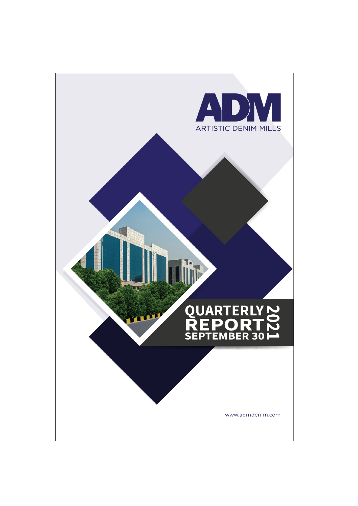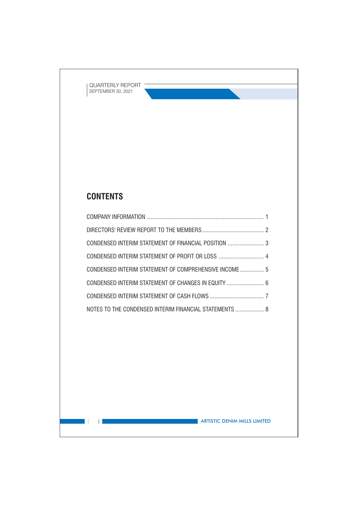# **CONTENTS**

 $\mathbb{R}^n$ 

 $\Box$ 

| CONDENSED INTERIM STATEMENT OF COMPREHENSIVE INCOME 5  |  |
|--------------------------------------------------------|--|
| CONDENSED INTERIM STATEMENT OF CHANGES IN EQUITY  6    |  |
|                                                        |  |
| NOTES TO THE CONDENSED INTERIM FINANCIAL STATEMENTS  8 |  |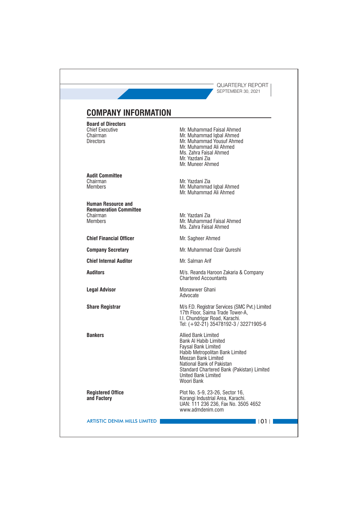## **COMPANY INFORMATION**

**Board of Directors Chief Executive** Chairman **Directors** 

**Audit Committee** Chairman **Members** 

**Human Resource and Remuneration Committee** Chairman Members

**Chief Financial Officer** 

**Company Secretary** 

**Chief Internal Auditor** 

**Auditors** 

**Legal Advisor** 

**Share Registrar** 

**Bankers** 

**Registered Office** and Factory

Mr. Muhammad Faisal Ahmed Mr. Muhammad Iqbal Ahmed Mr. Muhammad Yousuf Ahmed Mr. Muhammad Ali Ahmed Ms. Zahra Faisal Ahmed Mr. Yazdani Zia Mr. Muneer Ahmed

Mr. Yazdani Zia Mr. Muhammad Iqbal Ahmed Mr. Muhammad Ali Ahmed

Mr. Yazdani Zia Mr. Muhammad Faisal Ahmed Ms. Zahra Faisal Ahmed

Mr. Sagheer Ahmed

Mr. Muhammad Ozair Qureshi

Mr. Salman Arif

M/s. Reanda Haroon Zakaria & Company **Chartered Accountants** 

Monawwer Ghani Advocate

M/s F.D. Registrar Services (SMC Pvt.) Limited 17th Floor, Saima Trade Tower-A, I.I. Chundrigar Road, Karachi.<br>Tel: (+92-21) 35478192-3 / 32271905-6

Allied Bank Limited **Bank Al Habib Limited Faysal Bank Limited** Habib Metropolitan Bank Limited Meezan Bank Limited National Bank of Pakistan Standard Chartered Bank (Pakistan) Limited United Bank Limited Woori Bank

Plot No. 5-9, 23-26, Sector 16, Korangi Industrial Area, Karachi. UAN: 111 236 236, Fax No. 3505 4652 www.admdenim.com

**ARTISTIC DENIM MILLS LIMITED** 

 $\blacksquare$ 1011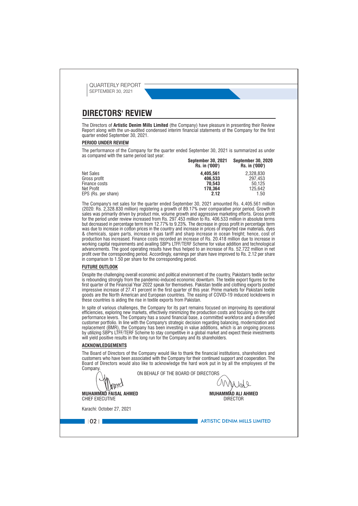OLIARTERIY REPORT SEPTEMBER 30, 2021

### **DIRECTORS' REVIEW**

The Directors of Artistic Denim Mills Limited (the Company) have pleasure in presenting their Review Report along with the un-audited condensed interim financial statements of the Company for the first quarter ended September 30, 2021.

### **PERIOD UNDER REVIEW**

The performance of the Company for the quarter ended September 30, 2021 is summarized as under as compared with the same period last year: 

|                     | <b>SEDIGHIDEL SU, ZUZ I</b><br>Rs. in ('000') | <b>SEDIGIIIDEI SU. ZUZU</b><br>Rs. in ('000') |
|---------------------|-----------------------------------------------|-----------------------------------------------|
| <b>Net Sales</b>    | 4.405.561                                     | 2.328.830                                     |
| Gross profit        | 406.533                                       | 297.453                                       |
| Finance costs       | 70.543                                        | 50.125                                        |
| Net Profit          | 178.364                                       | 125.642                                       |
| EPS (Rs. per share) | 2.12                                          | 1.50                                          |

The Company's net sales for the quarter ended September 30, 2021 amounted Rs. 4,405.561 million (2020: Rs. 2,328.830 million) registering a growth of 89.17% over comparative prior period. Growth in sales was primarily driven by product mix, volume growth and aggressive marketing efforts. Gross profit for the period under review increased from Rs. 297.453 million to Rs. 406.533 million in absolute terms but decreased in percentage term from 12.77% to 9.23%. The decrease in gross profit in percentage term was due to increase in cotton prices in the country and increase in prices of imported raw materials, dyes & chemicals, spare parts, increase in gas tariff and sharp increase in ocean freight; hence, cost of production has increased. Finance costs recorded an increase of Rs. 20.418 million due to increase in working capital requirements and availing SBP's LTFF/TERF Scheme for value addition and technological advancements. The good operating results have thus helped to an increase of Rs. 52.722 million in net profit over the corresponding period. Accordingly, earnings per share have improved to Rs. 2.12 per share in comparison to 1.50 per share for the corresponding period.

### **FUTURE OUTLOOK**

Despite the challenging overall economic and political environment of the country, Pakistan's textile sector is rebounding strongly from the pandemic-induced economic downturn. The textile export figures for the first quarter of the Financial Year 2022 speak for themselves. Pakistan textile and clothing exports posted impressive increase of 27.41 percent in the first quarter of this year. Prime markets for Pakistani textile goods are the North American and European countries. The easing of COVID-19 induced lockdowns in these countries is aiding the rise in textile exports from Pakistan.

In spite of various challenges, the Company for its part remains focused on improving its operational efficiencies, exploring new markets, effectively minimizing the production costs and focusing on the right enformance levers. The Company has a sound financial base, a committed workforce and a diversified<br>customer portfolio. In line with the Company's strategic decision regarding balancing, modernization and<br>replacement (BMR), will yield positive results in the long run for the Company and its shareholders.

### **ACKNOWLEDGEMENTS**

The Board of Directors of the Company would like to thank the financial institutions, shareholders and customers who have been associated with the Company for their continued support and cooperation. The Board of Directors would also like to acknowledge the hard work put in by all the employees of the Company

ON BEHALF OF THE BOARD OF DIRECTORS

MUHAMMAD ALI AHMED **DIRECTOR** 

Karachi: October 27, 2021

**CHIEF EXECUTIVE** 

med **MUHAMMAD FAISAL AHMED** 

 $|102|$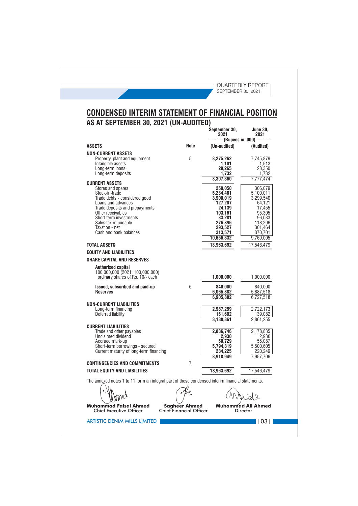| CONDENSED INTERIM STATEMENT OF FINANCIAL POSITION<br>AS AT SEPTEMBER 30, 2021 (UN-AUDITED)       |      |                                   |                                                      |
|--------------------------------------------------------------------------------------------------|------|-----------------------------------|------------------------------------------------------|
|                                                                                                  |      | September 30,<br>2021             | June 30.<br>2021<br>------(Rupees in '000)---------- |
| <b>ASSETS</b>                                                                                    | Note | (Un-audited)                      | (Audited)                                            |
| <b>NON-CURRENT ASSETS</b><br>Property, plant and equipment<br>Intangible assets                  | 5    | 8,275,262<br>1,101                | 7,745,879<br>1,513                                   |
| Long-term loans<br>Long-term deposits                                                            |      | 29.265<br>1,732<br>8,307,360      | 28,350<br>1,732<br>7,777,474                         |
| <b>CURRENT ASSETS</b>                                                                            |      |                                   |                                                      |
| Stores and spares<br>Stock-in-trade<br>Trade debts - considered good                             |      | 250,050<br>5,284,481<br>3,900,019 | 306,079<br>5,100,011<br>3,299,540                    |
| Loans and advances<br>Trade deposits and prepayments<br>Other receivables                        |      | 127.207<br>24,139<br>103,161      | 64,121<br>17,455<br>95,305                           |
| Short term investments<br>Sales tax refundable<br>Taxation - net                                 |      | 83,281<br>276,896<br>293.527      | 96,033<br>118.296<br>301.464                         |
| Cash and bank balances                                                                           |      | 313,571<br>10.656.332             | 370,701<br>9,769,005                                 |
| <b>TOTAL ASSETS</b>                                                                              |      | 18,963,692                        | 17,546,479                                           |
| <b>EQUITY AND LIABILITIES</b>                                                                    |      |                                   |                                                      |
| <b>SHARE CAPITAL AND RESERVES</b>                                                                |      |                                   |                                                      |
| <b>Authorised capital</b><br>100,000,000 (2021: 100,000,000)<br>ordinary shares of Rs. 10/- each |      | 1,000,000                         | 1,000,000                                            |
| Issued, subscribed and paid-up<br><b>Reserves</b>                                                | 6    | 840,000<br>6,065,882              | 840,000<br>5,887,518                                 |
|                                                                                                  |      | 6,905,882                         | 6,727,518                                            |
| <b>NON-CURRENT LIABILITIES</b><br>Long-term financing<br>Deferred liability                      |      | 2,987,259<br>151,602              | 2,722,173<br>139,082                                 |
| <b>CURRENT LIABILITIES</b>                                                                       |      | 3,138,861                         | 2,861,255                                            |
| Trade and other payables<br>Unclaimed dividend<br>Accrued mark-up                                |      | 2,836,746<br>2,930<br>50,729      | 2,178,835<br>2,930<br>55,087                         |
| Short-term borrowings - secured<br>Current maturity of long-term financing                       |      | 5,794,319<br>234,225              | 5.500.605<br>220,249<br>7,957,706                    |
| <b>CONTINGENCIES AND COMMITMENTS</b>                                                             | 7    |                                   |                                                      |
| <b>TOTAL EQUITY AND LIABILITIES</b>                                                              |      | 18,963,692                        | 17,546,479                                           |
| The annexed notes 1 to 11 form an integral part of these condensed interim financial statements. |      |                                   |                                                      |
|                                                                                                  |      | 8,918,949                         |                                                      |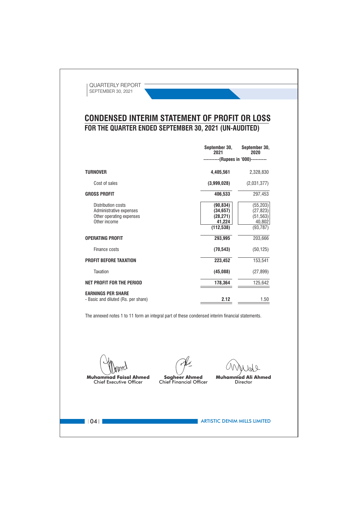## **CONDENSED INTERIM STATEMENT OF PROFIT OR LOSS** FOR THE QUARTER ENDED SEPTEMBER 30, 2021 (UN-AUDITED)

|                                                                                           | September 30,<br>2021                                       | September 30,<br>2020                                      |
|-------------------------------------------------------------------------------------------|-------------------------------------------------------------|------------------------------------------------------------|
|                                                                                           | ----------(Rupees in '000)----------                        |                                                            |
| <b>TURNOVER</b>                                                                           | 4,405,561                                                   | 2,328,830                                                  |
| Cost of sales                                                                             | (3,999,028)                                                 | (2,031,377)                                                |
| <b>GROSS PROFIT</b>                                                                       | 406,533                                                     | 297,453                                                    |
| Distribution costs<br>Administrative expenses<br>Other operating expenses<br>Other income | (90, 834)<br>(34, 657)<br>(28, 271)<br>41,224<br>(112, 538) | (55, 203)<br>(27, 823)<br>(51, 563)<br>40,802<br>(93, 787) |
| <b>OPERATING PROFIT</b>                                                                   | 293,995                                                     | 203,666                                                    |
| Finance costs                                                                             | (70, 543)                                                   | (50, 125)                                                  |
| <b>PROFIT BEFORE TAXATION</b>                                                             | 223,452                                                     | 153,541                                                    |
| Taxation                                                                                  | (45,088)                                                    | (27, 899)                                                  |
| <b>NET PROFIT FOR THE PERIOD</b>                                                          | 178,364                                                     | 125,642                                                    |
| <b>EARNINGS PER SHARE</b><br>- Basic and diluted (Rs. per share)                          | 2.12                                                        | 1.50                                                       |

The annexed notes 1 to 11 form an integral part of these condensed interim financial statements.

**Muhammad Faisal Ahmed Chief Executive Officer** 

**Muhammad Ali Ahmed** 

**Sagheer Ahmed**<br>Chief Financial Officer

Director

 $\blacksquare$   $\blacksquare$   $\blacksquare$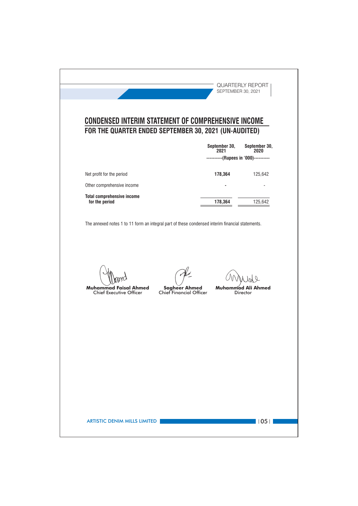|                                                                 |                         | September 30,<br>2021<br>----------(Rupees in '000)---------- | September 30,<br>2020     |
|-----------------------------------------------------------------|-------------------------|---------------------------------------------------------------|---------------------------|
|                                                                 |                         |                                                               |                           |
| Net profit for the period                                       |                         | 178,364                                                       | 125,642                   |
| Other comprehensive income<br><b>Total comprehensive income</b> |                         |                                                               |                           |
| for the period                                                  |                         | 178,364                                                       | 125,642                   |
|                                                                 | <b>Sagheer Ahmed</b>    | Muham                                                         | mad Ali Ahmed<br>Director |
| Muhammad Faisal Ahmed<br><b>Chief Executive Officer</b>         | Chief Financial Officer |                                                               |                           |
|                                                                 |                         |                                                               |                           |
|                                                                 |                         |                                                               |                           |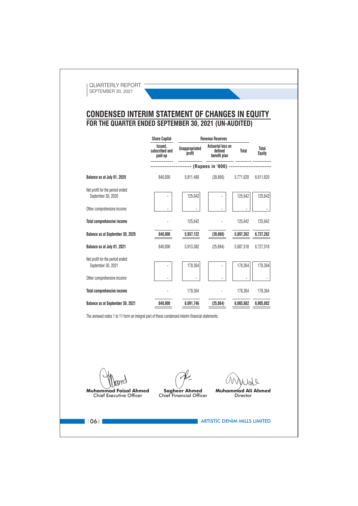## **CONDENSED INTERIM STATEMENT OF CHANGES IN EQUITY** FOR THE QUARTER ENDED SEPTEMBER 30, 2021 (UN-AUDITED)

|                                                       | <b>Share Capital</b>                 |                                 | <b>Revenue Reserves</b>                             |           |                        |
|-------------------------------------------------------|--------------------------------------|---------------------------------|-----------------------------------------------------|-----------|------------------------|
|                                                       | Issued.<br>subscribed and<br>paid-up | <b>Unappropriated</b><br>profit | <b>Actuarial loss on</b><br>defined<br>benefit plan | Total     | Total<br><b>Equity</b> |
|                                                       |                                      |                                 | (Rupees in '000) -                                  |           |                        |
| Balance as at July 01, 2020                           | 840,000                              | 5,811,480                       | (39, 860)                                           | 5,771,620 | 6,611,620              |
| Net profit for the period ended<br>September 30, 2020 |                                      | 125,642                         |                                                     | 125,642   | 125,642                |
| Other comprehensive income                            |                                      | ä,                              |                                                     |           |                        |
| <b>Total comprehensive income</b>                     |                                      | 125,642                         |                                                     | 125,642   | 125,642                |
| Balance as at September 30, 2020                      | 840,000                              | 5,937,122                       | (39, 860)                                           | 5,897,262 | 6,737,262              |
| Balance as at July 01, 2021                           | 840,000                              | 5,913,382                       | (25, 864)                                           | 5,887,518 | 6,727,518              |
| Net profit for the period ended<br>September 30, 2021 |                                      | 178,364                         |                                                     | 178,364   | 178,364                |
| Other comprehensive income                            |                                      |                                 |                                                     |           |                        |
| <b>Total comprehensive income</b>                     |                                      | 178,364                         |                                                     | 178,364   | 178,364                |
| Balance as at September 30, 2021                      | 840,000                              | 6,091,746                       | (25, 864)                                           | 6,065,882 | 6,905,882              |

The annexed notes 1 to 11 form an integral part of these condensed interim financial statements.

**Muhammad Faisal Ahmed** Chief Executive Officer

**Sagheer Ahmed** Chief Financial Officer

 $\mathcal{J}$ Muhammad Ali Ahmed

Director

 $\vert$  10611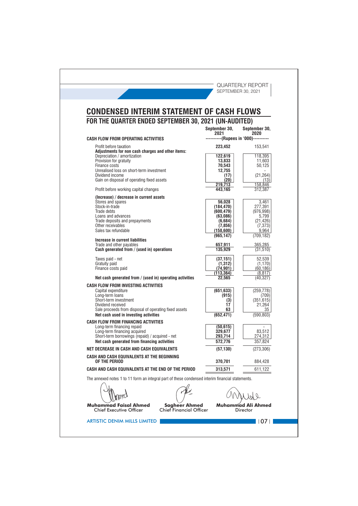| <b>CONDENSED INTERIM STATEMENT OF CASH FLOWS</b><br>FOR THE QUARTER ENDED SEPTEMBER 30, 2021 (UN-AUDITED)     |                                      |                                    |
|---------------------------------------------------------------------------------------------------------------|--------------------------------------|------------------------------------|
|                                                                                                               | September 30.<br>2021                | September 30,<br>2020              |
| <b>CASH FLOW FROM OPERATING ACTIVITIES</b>                                                                    | ----------(Rupees in '000)---------- |                                    |
| Profit before taxation<br>Adjustments for non cash charges and other items:<br>Depreciation / amortization    | 223,452<br>122,619                   | 153,541<br>118,395                 |
| Provision for gratuity<br>Finance costs<br>Unrealised loss on short-term investment                           | 13,833<br>70,543                     | 11,603<br>50,125                   |
| Dividend income<br>Gain on disposal of operating fixed assets                                                 | 12,755<br>(17)<br>(20)               | (21, 264)<br>(13)                  |
| Profit before working capital changes                                                                         | 219,713<br>443,165                   | 158,846<br>312,387                 |
| (Increase) / decrease in current assets<br>Stores and spares<br>Stock-in-trade                                | 56,028                               | 3,461<br>277,391                   |
| Trade debts<br>Loans and advances                                                                             | (184, 470)<br>(600, 479)<br>(63,086) | (976, 998)<br>5,799                |
| Trade deposits and prepayments<br>Other receivables<br>Sales tax refundable                                   | (6,684)<br>(7, 856)<br>(158, 600)    | (21, 426)<br>(7, 373)<br>9,964     |
| Increase in current liabilities                                                                               | (965.147)                            | (709, 182)                         |
| Trade and other payables<br>Cash generated from / (used in) operations                                        | 657,911<br>135,929                   | 365,285<br>(31, 510)               |
| Taxes paid - net<br>Gratuity paid                                                                             | (37, 151)<br>(1,312)                 | 52,539<br>(1, 170)                 |
| Finance costs paid<br>Net cash generated from / (used in) operating activities                                | (74, 901)<br>(113,364)<br>22,565     | (60, 186)<br>(8, 817)<br>(40, 327) |
| CASH FLOW FROM INVESTING ACTIVITIES                                                                           |                                      |                                    |
| Capital expenditure<br>Long-term loans<br>Short-term investment                                               | (651, 633)<br>(915)<br>(3)           | (259, 778)<br>(709)<br>(351, 615)  |
| Dividend received<br>Sale proceeds from disposal of operating fixed assets                                    | 17<br>63                             | 21,264<br>35                       |
| Net cash used in investing activities<br><b>CASH FLOW FROM FINANCING ACTIVITIES</b>                           | (652, 471)                           | (590.803)                          |
| Long-term financing repaid<br>Long-term financing acquired<br>Short-term borrowings (repaid) / acquired - net | (50, 615)<br>329,677<br>293,714      | 83,512<br>274,312                  |
| Net cash generated from financing activities                                                                  | 572,776                              | 357,824                            |
| NET DECREASE IN CASH AND CASH EQUIVALENTS                                                                     | (57, 130)                            | (273, 306)                         |
| CASH AND CASH EQUIVALENTS AT THE BEGINNING<br>OF THE PERIOD                                                   | 370,701                              | 884,428                            |
| CASH AND CASH EQUIVALENTS AT THE END OF THE PERIOD                                                            | 313,571                              | 611,122                            |
| The annexed notes 1 to 11 form an integral part of these condensed interim financial statements.              |                                      |                                    |
|                                                                                                               |                                      |                                    |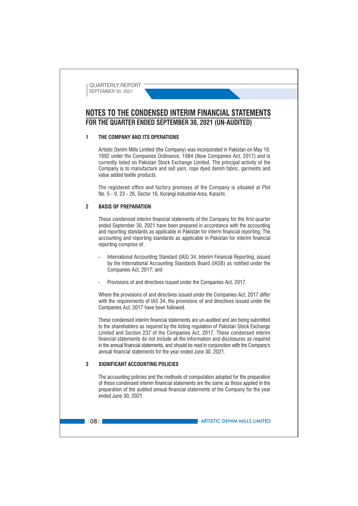### NOTES TO THE CONDENSED INTERIM FINANCIAL STATEMENTS FOR THE QUARTER ENDED SEPTEMBER 30, 2021 (UN-AUDITED)

### $\blacksquare$ THE COMPANY AND ITS OPERATIONS

Artistic Denim Mills Limited (the Company) was incorporated in Pakistan on May 18, 1992 under the Companies Ordinance, 1984 (Now Companies Act, 2017) and is currently listed on Pakistan Stock Exchange Limited. The principal activity of the Company is to manufacture and sell varn, rope dyed denim fabric, garments and value added textile products.

The registered office and factory premises of the Company is situated at Plot No. 5 - 9, 23 - 26, Sector 16, Korangi Industrial Area, Karachi.

#### $\overline{\mathbf{z}}$ **BASIS OF PREPARATION**

These condensed interim financial statements of the Company for the first quarter ended September 30, 2021 have been prepared in accordance with the accounting and reporting standards as applicable in Pakistan for interm financial reporting. The accounting and reporting standards as applicable in Pakistan for interim financial reporting comprise of:

- International Accounting Standard (IAS) 34, Interim Financial Reporting, issued by the International Accounting Standards Board (IASB) as notified under the Companies Act, 2017; and
- Provisions of and directives issued under the Companies Act, 2017.

Where the provisions of and directives issued under the Companies Act, 2017 differ with the requirements of IAS 34, the provisions of and directives issued under the Companies Act, 2017 have been followed.

These condensed interim financial statements are un-audited and are being submitted to the shareholders as required by the listing regulation of Pakistan Stock Exchange Limited and Section 237 of the Companies Act. 2017. These condensed interim financial statements do not include all the information and disclosures as required in the annual financial statements, and should be read in conjunction with the Company's annual financial statements for the year ended June 30, 2021.

### $\overline{a}$ **SIGNIFICANT ACCOUNTING POLICIES**

The accounting policies and the methods of computation adopted for the preparation of these condensed interim financial statements are the same as those applied in the preparation of the audited annual financial statements of the Company for the year ended June 30, 2021.

 $|108|$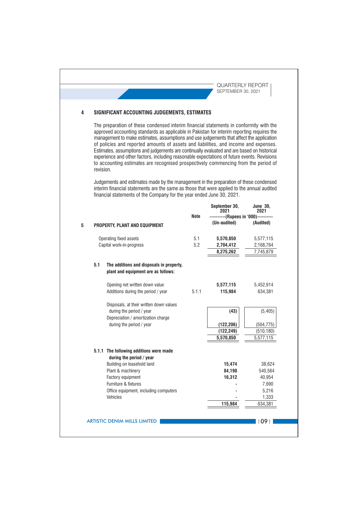### SIGNIFICANT ACCOUNTING JUDGEMENTS, ESTIMATES  $\overline{\mathbf{4}}$

The preparation of these condensed interim financial statements in conformity with the approved accounting standards as applicable in Pakistan for interim reporting requires the management to make estimates, assumptions and use judgements that affect the application of policies and reported amounts of assets and liabilities, and income and expenses. Estimates, assumptions and judgements are continually evaluated and are based on historical experience and other factors, including reasonable expectations of future events. Revisions to accounting estimates are recognised prospectively commencing from the period of revision.

Judgements and estimates made by the management in the preparation of these condensed interim financial statements are the same as those that were applied to the annual audited financial statements of the Company for the year ended June 30, 2021.

|     |                                                                                 |       | September 30,<br>2021                | <b>June 30,</b><br>2021 |
|-----|---------------------------------------------------------------------------------|-------|--------------------------------------|-------------------------|
|     |                                                                                 | Note  | ----------(Rupees in '000)---------- |                         |
|     | PROPERTY, PLANT AND EQUIPMENT                                                   |       | (Un-audited)                         | (Audited)               |
|     | Operating fixed assets                                                          | 5.1   | 5,570,850                            | 5,577,115               |
|     | Capital work-in-progress                                                        | 5.2   | 2,704,412                            | 2,168,764               |
|     |                                                                                 |       | 8,275,262                            | 7,745,879               |
| 5.1 | The additions and disposals in property,<br>plant and equipment are as follows: |       |                                      |                         |
|     | Opening net written down value                                                  |       | 5,577,115                            | 5,452,914               |
|     | Additions during the period / year                                              | 5.1.1 | 115,984                              | 634,381                 |
|     | Disposals, at their written down values                                         |       |                                      |                         |
|     | during the period / year<br>Depreciation / amortization charge                  |       | (43)                                 | (5, 405)                |
|     | during the period / year                                                        |       | (122, 206)                           | (504, 775)              |
|     |                                                                                 |       | (122, 249)                           | (510, 180)              |
|     |                                                                                 |       | 5,570,850                            | 5,577,115               |
|     | 5.1.1 The following additions were made<br>during the period / year             |       |                                      |                         |
|     | Building on leasehold land                                                      |       | 15,474                               | 38,624                  |
|     | Plant & machinery                                                               |       | 84,198                               | 540,564                 |
|     | Factory equipment                                                               |       | 16,312                               | 40,954                  |
|     | Furniture & fixtures                                                            |       |                                      | 7,690                   |
|     | Office equipment, including computers                                           |       |                                      | 5,216                   |
|     | Vehicles                                                                        |       |                                      | 1,333                   |
|     |                                                                                 |       | 115,984                              | 634,381                 |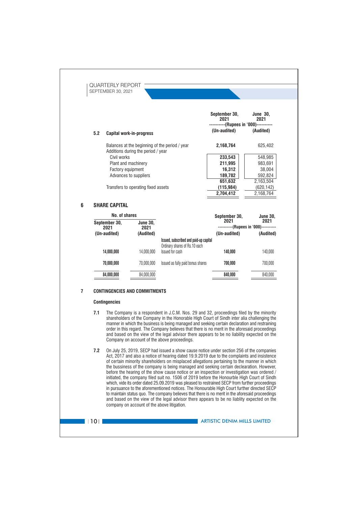

- manner in which the business is being managed and seeking certain declaration and restraining order in this regard. The Company believes that there is no merit in the aforesaid proceedings and based on the view of the legal advisor there appears to be no liability expected on the Company on account of the above proceedings.
- $7.2$ On July 25, 2019, SECP had issued a show cause notice under section 256 of the companies Act, 2017 and also a notice of hearing dated 19.9.2019 due to the complaints and insistence of certain minority shareholders on misplaced allegations pertaining to the manner in which the bussiness of the company is being managed and seeking certain declearation. However, before the hearing of the show cause notice or an inspection or investigation was ordered / initiated, the company filed suit no. 1506 of 2019 before the Honourble High Court of Sindh which, vide its order dated 25.09.2019 was pleased to restrained SECP from further proceedings in pursuance to the aforementioned notices. The Honourable High Court further directed SECP to maintain status quo. The company believes that there is no merit in the aforesaid proceedings and based on the view of the legal advisor there appears to be no liablity expected on the company on account of the above litigation.

 $\blacksquare$  | 10 |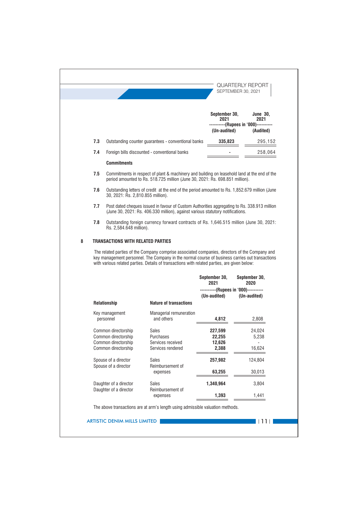|   |     |                                                              |                                                                                                                                                                                                                                                                                              | September 30,<br>2021 | <b>June 30,</b><br>2021<br>----------(Rupees in '000)---------- |
|---|-----|--------------------------------------------------------------|----------------------------------------------------------------------------------------------------------------------------------------------------------------------------------------------------------------------------------------------------------------------------------------------|-----------------------|-----------------------------------------------------------------|
|   |     |                                                              |                                                                                                                                                                                                                                                                                              | (Un-audited)          | (Audited)                                                       |
|   | 7.3 |                                                              | Outstanding counter quarantees - conventional banks                                                                                                                                                                                                                                          | 335,823               | 295,152                                                         |
|   | 7.4 |                                                              | Foreign bills discounted - conventional banks                                                                                                                                                                                                                                                |                       | 258,064                                                         |
|   |     | <b>Commitments</b>                                           |                                                                                                                                                                                                                                                                                              |                       |                                                                 |
|   | 7.5 |                                                              | Commitments in respect of plant & machinery and building on leasehold land at the end of the<br>period amounted to Rs. 518.725 million (June 30, 2021: Rs. 698.851 million).                                                                                                                 |                       |                                                                 |
|   | 7.6 | 30, 2021: Rs. 2,810.855 million).                            | Outstanding letters of credit at the end of the period amounted to Rs. 1,852.679 million (June                                                                                                                                                                                               |                       |                                                                 |
|   | 7.7 |                                                              | Post dated cheques issued in favour of Custom Authorities aggregating to Rs. 338.913 million<br>(June 30, 2021: Rs. 406.330 million), against various statutory notifications.                                                                                                               |                       |                                                                 |
|   |     |                                                              |                                                                                                                                                                                                                                                                                              |                       |                                                                 |
| 8 | 7.8 | Rs. 2,584.648 million).<br>TRANSACTIONS WITH RELATED PARTIES | Outstanding foreign currency forward contracts of Rs. 1,646.515 million (June 30, 2021:<br>The related parties of the Company comprise associated companies, directors of the Company and<br>key management personnel. The Company in the normal course of business carries out transactions |                       |                                                                 |
|   |     |                                                              | with various related parties. Details of transactions with related parties, are given below:                                                                                                                                                                                                 | September 30,         | September 30,                                                   |
|   |     |                                                              |                                                                                                                                                                                                                                                                                              | 2021                  | 2020<br>----------(Rupees in '000)----------                    |
|   |     | Relationship                                                 | <b>Nature of transactions</b>                                                                                                                                                                                                                                                                | (Un-audited)          | (Un-audited)                                                    |
|   |     | Key management<br>personnel                                  | Managerial remuneration<br>and others                                                                                                                                                                                                                                                        | 4,812                 | 2.808                                                           |
|   |     | Common directorship<br>Common directorship                   | Sales<br>Purchases                                                                                                                                                                                                                                                                           | 227,599<br>22.255     | 24,024<br>5,238                                                 |
|   |     | Common directorship<br>Common directorship                   | Services received<br>Services rendered                                                                                                                                                                                                                                                       | 12,626<br>2,388       | 16,624                                                          |
|   |     | Spouse of a director                                         | <b>Sales</b>                                                                                                                                                                                                                                                                                 |                       | 124,804                                                         |
|   |     | Spouse of a director                                         | Reimbursement of<br>expenses                                                                                                                                                                                                                                                                 | 257,982<br>63,255     |                                                                 |
|   |     |                                                              |                                                                                                                                                                                                                                                                                              |                       | 30,013                                                          |
|   |     | Daughter of a director<br>Daughter of a director             | Sales<br>Reimbursement of<br>expenses                                                                                                                                                                                                                                                        | 1,340,964<br>1,393    | 3,804<br>1,441                                                  |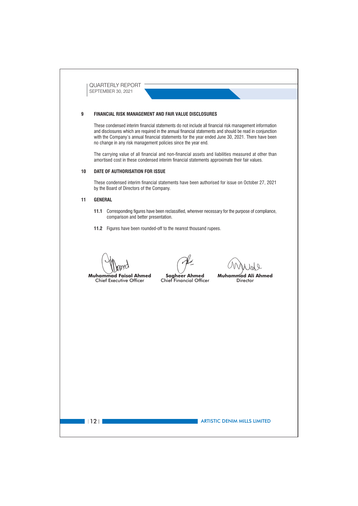### FINANCIAL RISK MANAGEMENT AND FAIR VALUE DISCLOSURES  $\mathbf{q}$

These condensed interim financial statements do not include all financial risk management information and disclosures which are required in the annual financial statements and should be read in conjunction with the Company's annual financial statements for the year ended June 30, 2021. There have been no change in any risk management policies since the year end.

The carrying value of all financial and non-financial assets and liabilities measured at other than amortised cost in these condensed interim financial statements approximate their fair values.

#### $10$ DATE OF AUTHORISATION FOR ISSUE

These condensed interim financial statements have been authorised for issue on October 27, 2021 by the Board of Directors of the Company.

#### $11$ **GENERAL**

 $1121$ 

- 11.1 Corresponding figures have been reclassified, wherever necessary for the purpose of compliance, comparison and better presentation.
- 11.2 Figures have been rounded-off to the nearest thousand rupees.

**Chief Executive Officer** 

**Muhammad Faisal Ahmed** 

**Sagheer Ahmed** Chief Financial Officer

**Muhammad Ali Ahmed** Director